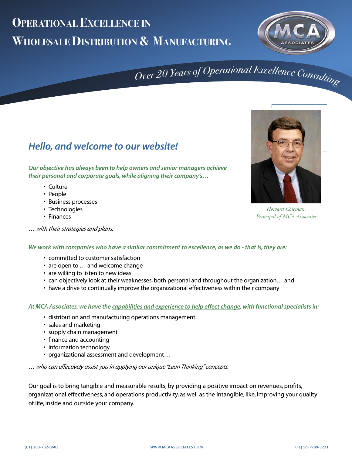## **OPERATIONAL EXCELLENCE IN WHOLESALE DISTRIBUTION & MANUFACTURING**



# Over 20 Years of Operational Excellence Consulting

### **Hello, and welcome to our website!**

**Our objective has always been to help owners and senior managers achieve their personal and corporate goals, while aligning their company's…**

- Culture
- People
- Business processes
- Technologies
- Finances
- … with their strategies and plans.



*Howard Coleman, Principal of MCA Associates*

#### **We work with companies who have a similar commitment to excellence, as we do - that is, they are:**

- committed to customer satisfaction
- are open to … and welcome change
- are willing to listen to new ideas
- can objectively look at their weaknesses, both personal and throughout the organization… and
- have a drive to continually improve the organizational effectiveness within their company

#### **At MCA Associates, we have the capabilities and experience to help effect change, with functional specialists in:**

- distribution and manufacturing operations management
- sales and marketing
- supply chain management
- finance and accounting
- information technology
- organizational assessment and development…

… who can effectively assist you in applying our unique "Lean Thinking" concepts.

Our goal is to bring tangible and measurable results, by providing a positive impact on revenues, profits, organizational effectiveness, and operations productivity, as well as the intangible, like, improving your quality of life, inside and outside your company.